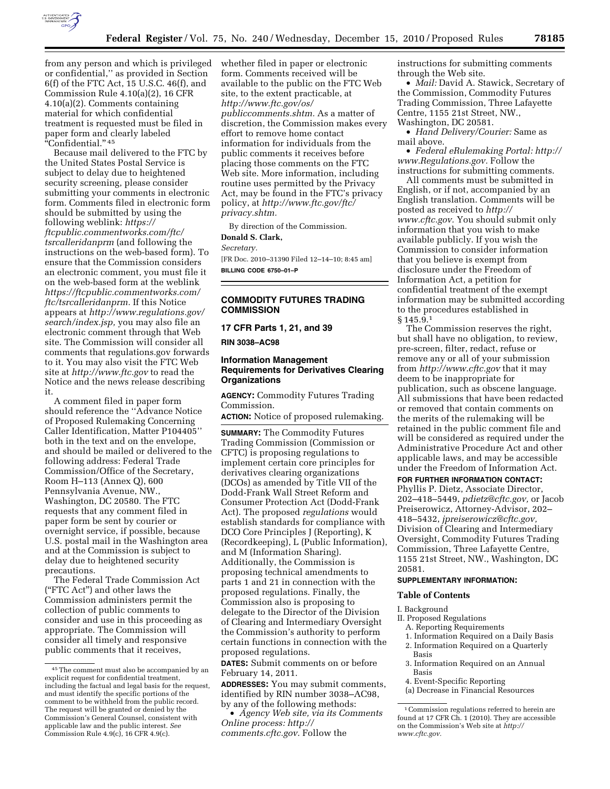

from any person and which is privileged or confidential,'' as provided in Section 6(f) of the FTC Act, 15 U.S.C. 46(f), and Commission Rule 4.10(a)(2), 16 CFR 4.10(a)(2). Comments containing material for which confidential treatment is requested must be filed in paper form and clearly labeled ''Confidential.'' 45

Because mail delivered to the FTC by the United States Postal Service is subject to delay due to heightened security screening, please consider submitting your comments in electronic form. Comments filed in electronic form should be submitted by using the following weblink: *[https://](https://ftcpublic.commentworks.com/ftc/tsrcalleridanprm)  [ftcpublic.commentworks.com/ftc/](https://ftcpublic.commentworks.com/ftc/tsrcalleridanprm)  [tsrcalleridanprm](https://ftcpublic.commentworks.com/ftc/tsrcalleridanprm)* (and following the instructions on the web-based form). To ensure that the Commission considers an electronic comment, you must file it on the web-based form at the weblink *[https://ftcpublic.commentworks.com/](https://ftcpublic.commentworks.com/ftc/tsrcalleridanprm) [ftc/tsrcalleridanprm.](https://ftcpublic.commentworks.com/ftc/tsrcalleridanprm)* If this Notice appears at *[http://www.regulations.gov/](http://www.regulations.gov/search/index.jsp) [search/index.jsp,](http://www.regulations.gov/search/index.jsp)* you may also file an electronic comment through that Web site. The Commission will consider all comments that regulations.gov forwards to it. You may also visit the FTC Web site at *<http://www.ftc.gov>*to read the Notice and the news release describing it.

A comment filed in paper form should reference the ''Advance Notice of Proposed Rulemaking Concerning Caller Identification, Matter P104405'' both in the text and on the envelope, and should be mailed or delivered to the following address: Federal Trade Commission/Office of the Secretary, Room H–113 (Annex Q), 600 Pennsylvania Avenue, NW., Washington, DC 20580. The FTC requests that any comment filed in paper form be sent by courier or overnight service, if possible, because U.S. postal mail in the Washington area and at the Commission is subject to delay due to heightened security precautions.

The Federal Trade Commission Act (''FTC Act'') and other laws the Commission administers permit the collection of public comments to consider and use in this proceeding as appropriate. The Commission will consider all timely and responsive public comments that it receives,

whether filed in paper or electronic form. Comments received will be available to the public on the FTC Web site, to the extent practicable, at *[http://www.ftc.gov/os/](http://www.ftc.gov/os/publiccomments.shtm)  [publiccomments.shtm.](http://www.ftc.gov/os/publiccomments.shtm)* As a matter of discretion, the Commission makes every effort to remove home contact information for individuals from the public comments it receives before placing those comments on the FTC Web site. More information, including routine uses permitted by the Privacy Act, may be found in the FTC's privacy policy, at *[http://www.ftc.gov/ftc/](http://www.ftc.gov/ftc/privacy.shtm) [privacy.shtm.](http://www.ftc.gov/ftc/privacy.shtm)* 

By direction of the Commission.

# **Donald S. Clark,**

*Secretary.* 

[FR Doc. 2010–31390 Filed 12–14–10; 8:45 am] **BILLING CODE 6750–01–P** 

# **COMMODITY FUTURES TRADING COMMISSION**

**17 CFR Parts 1, 21, and 39** 

**RIN 3038–AC98** 

# **Information Management Requirements for Derivatives Clearing Organizations**

**AGENCY:** Commodity Futures Trading Commission.

**ACTION:** Notice of proposed rulemaking.

**SUMMARY:** The Commodity Futures Trading Commission (Commission or CFTC) is proposing regulations to implement certain core principles for derivatives clearing organizations (DCOs) as amended by Title VII of the Dodd-Frank Wall Street Reform and Consumer Protection Act (Dodd-Frank Act). The proposed *regulations* would establish standards for compliance with DCO Core Principles J (Reporting), K (Recordkeeping), L (Public Information), and M (Information Sharing). Additionally, the Commission is proposing technical amendments to parts 1 and 21 in connection with the proposed regulations. Finally, the Commission also is proposing to delegate to the Director of the Division of Clearing and Intermediary Oversight the Commission's authority to perform certain functions in connection with the proposed regulations.

**DATES:** Submit comments on or before February 14, 2011.

**ADDRESSES:** You may submit comments, identified by RIN number 3038–AC98, by any of the following methods:

• *Agency Web site, via its Comments Online process: [http://](http://comments.cftc.gov) [comments.cftc.gov.](http://comments.cftc.gov)* Follow the

instructions for submitting comments through the Web site.

• *Mail:* David A. Stawick, Secretary of the Commission, Commodity Futures Trading Commission, Three Lafayette Centre, 1155 21st Street, NW., Washington, DC 20581.

• *Hand Delivery/Courier:* Same as mail above.

• *Federal eRulemaking Portal: [http://](http://www.Regulations.gov)  [www.Regulations.gov.](http://www.Regulations.gov)* Follow the instructions for submitting comments.

All comments must be submitted in English, or if not, accompanied by an English translation. Comments will be posted as received to *[http://](http://www.cftc.gov) [www.cftc.gov.](http://www.cftc.gov)* You should submit only information that you wish to make available publicly. If you wish the Commission to consider information that you believe is exempt from disclosure under the Freedom of Information Act, a petition for confidential treatment of the exempt information may be submitted according to the procedures established in § 145.9.1

The Commission reserves the right, but shall have no obligation, to review, pre-screen, filter, redact, refuse or remove any or all of your submission from *<http://www.cftc.gov>* that it may deem to be inappropriate for publication, such as obscene language. All submissions that have been redacted or removed that contain comments on the merits of the rulemaking will be retained in the public comment file and will be considered as required under the Administrative Procedure Act and other applicable laws, and may be accessible under the Freedom of Information Act.

# **FOR FURTHER INFORMATION CONTACT:**

Phyllis P. Dietz, Associate Director, 202–418–5449, *[pdietz@cftc.gov,](mailto:pdietz@cftc.gov)* or Jacob Preiserowicz, Attorney-Advisor, 202– 418–5432, *[jpreiserowicz@cftc.gov,](mailto:jpreiserowicz@cftc.gov)*  Division of Clearing and Intermediary Oversight, Commodity Futures Trading Commission, Three Lafayette Centre, 1155 21st Street, NW., Washington, DC 20581.

## **SUPPLEMENTARY INFORMATION:**

## **Table of Contents**

#### I. Background

- II. Proposed Regulations
	- A. Reporting Requirements
	- 1. Information Required on a Daily Basis 2. Information Required on a Quarterly Basis
- 3. Information Required on an Annual Basis
- 4. Event-Specific Reporting
- (a) Decrease in Financial Resources

<sup>45</sup>The comment must also be accompanied by an explicit request for confidential treatment, including the factual and legal basis for the request, and must identify the specific portions of the comment to be withheld from the public record. The request will be granted or denied by the Commission's General Counsel, consistent with applicable law and the public interest. *See*   $\overrightarrow{Common}$  Commission Rule 4.9(c), 16 CFR 4.9(c).

<sup>1</sup>Commission regulations referred to herein are found at 17 CFR Ch. 1 (2010). They are accessible on the Commission's Web site at *[http://](http://www.cftc.gov) [www.cftc.gov.](http://www.cftc.gov)*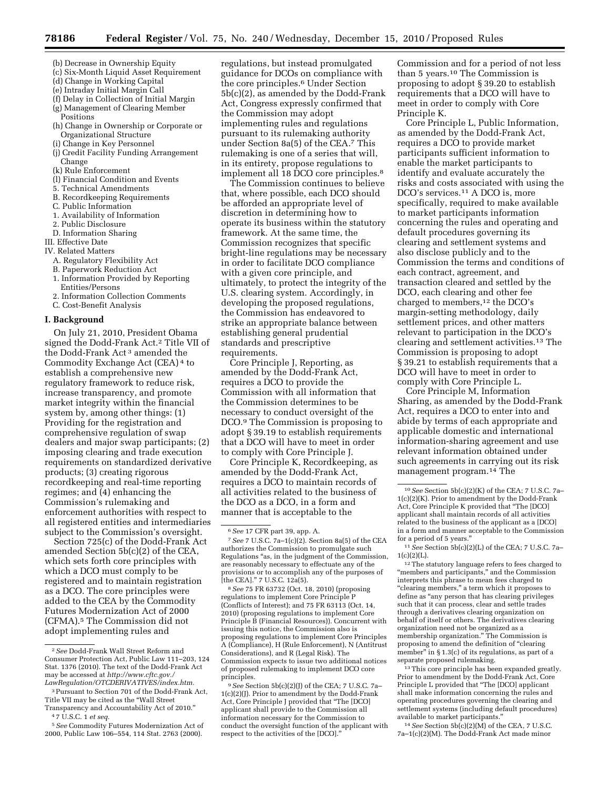- (b) Decrease in Ownership Equity
- (c) Six-Month Liquid Asset Requirement
- (d) Change in Working Capital
- (e) Intraday Initial Margin Call
- (f) Delay in Collection of Initial Margin (g) Management of Clearing Member
- Positions
- (h) Change in Ownership or Corporate or Organizational Structure
- (i) Change in Key Personnel
- (j) Credit Facility Funding Arrangement Change
- (k) Rule Enforcement
- (l) Financial Condition and Events
- 5. Technical Amendments
- B. Recordkeeping Requirements
- C. Public Information
- 1. Availability of Information
- 2. Public Disclosure
- D. Information Sharing

III. Effective Date

- IV. Related Matters A. Regulatory Flexibility Act
	- B. Paperwork Reduction Act
	- 1. Information Provided by Reporting
	- Entities/Persons
	- 2. Information Collection Comments
	- C. Cost-Benefit Analysis

### **I. Background**

On July 21, 2010, President Obama signed the Dodd-Frank Act.2 Title VII of the Dodd-Frank Act 3 amended the Commodity Exchange Act (CEA) 4 to establish a comprehensive new regulatory framework to reduce risk, increase transparency, and promote market integrity within the financial system by, among other things: (1) Providing for the registration and comprehensive regulation of swap dealers and major swap participants; (2) imposing clearing and trade execution requirements on standardized derivative products; (3) creating rigorous recordkeeping and real-time reporting regimes; and (4) enhancing the Commission's rulemaking and enforcement authorities with respect to all registered entities and intermediaries subject to the Commission's oversight.

Section 725(c) of the Dodd-Frank Act amended Section 5b(c)(2) of the CEA, which sets forth core principles with which a DCO must comply to be registered and to maintain registration as a DCO. The core principles were added to the CEA by the Commodity Futures Modernization Act of 2000 (CFMA).5 The Commission did not adopt implementing rules and

regulations, but instead promulgated guidance for DCOs on compliance with the core principles.6 Under Section 5b(c)(2), as amended by the Dodd-Frank Act, Congress expressly confirmed that the Commission may adopt implementing rules and regulations pursuant to its rulemaking authority under Section 8a(5) of the CEA.7 This rulemaking is one of a series that will, in its entirety, propose regulations to implement all 18 DCO core principles.8

The Commission continues to believe that, where possible, each DCO should be afforded an appropriate level of discretion in determining how to operate its business within the statutory framework. At the same time, the Commission recognizes that specific bright-line regulations may be necessary in order to facilitate DCO compliance with a given core principle, and ultimately, to protect the integrity of the U.S. clearing system. Accordingly, in developing the proposed regulations, the Commission has endeavored to strike an appropriate balance between establishing general prudential standards and prescriptive requirements.

Core Principle J, Reporting, as amended by the Dodd-Frank Act, requires a DCO to provide the Commission with all information that the Commission determines to be necessary to conduct oversight of the DCO.9 The Commission is proposing to adopt § 39.19 to establish requirements that a DCO will have to meet in order to comply with Core Principle J.

Core Principle K, Recordkeeping, as amended by the Dodd-Frank Act, requires a DCO to maintain records of all activities related to the business of the DCO as a DCO, in a form and manner that is acceptable to the

8*See* 75 FR 63732 (Oct. 18, 2010) (proposing regulations to implement Core Principle P (Conflicts of Interest); and 75 FR 63113 (Oct. 14, 2010) (proposing regulations to implement Core Principle B (Financial Resources)). Concurrent with issuing this notice, the Commission also is proposing regulations to implement Core Principles A (Compliance), H (Rule Enforcement), N (Antitrust Considerations), and R (Legal Risk). The Commission expects to issue two additional notices of proposed rulemaking to implement DCO core principles.

9*See* Section 5b(c)(2)(J) of the CEA; 7 U.S.C. 7a– 1(c)(2)(J). Prior to amendment by the Dodd-Frank Act, Core Principle J provided that ''The [DCO] applicant shall provide to the Commission all information necessary for the Commission to conduct the oversight function of the applicant with respect to the activities of the [DCO].''

Commission and for a period of not less than 5 years.10 The Commission is proposing to adopt § 39.20 to establish requirements that a DCO will have to meet in order to comply with Core Principle K.

Core Principle L, Public Information, as amended by the Dodd-Frank Act, requires a DCO to provide market participants sufficient information to enable the market participants to identify and evaluate accurately the risks and costs associated with using the DCO's services.11 A DCO is, more specifically, required to make available to market participants information concerning the rules and operating and default procedures governing its clearing and settlement systems and also disclose publicly and to the Commission the terms and conditions of each contract, agreement, and transaction cleared and settled by the DCO, each clearing and other fee charged to members,<sup>12</sup> the DCO's margin-setting methodology, daily settlement prices, and other matters relevant to participation in the DCO's clearing and settlement activities.13 The Commission is proposing to adopt § 39.21 to establish requirements that a DCO will have to meet in order to comply with Core Principle L.

Core Principle M, Information Sharing, as amended by the Dodd-Frank Act, requires a DCO to enter into and abide by terms of each appropriate and applicable domestic and international information-sharing agreement and use relevant information obtained under such agreements in carrying out its risk management program.14 The

12The statutory language refers to fees charged to ''members and participants,'' and the Commission interprets this phrase to mean fees charged to ''clearing members,'' a term which it proposes to define as ''any person that has clearing privileges such that it can process, clear and settle trades through a derivatives clearing organization on behalf of itself or others. The derivatives clearing organization need not be organized as a membership organization.'' The Commission is proposing to amend the definition of ''clearing member'' in § 1.3(c) of its regulations, as part of a separate proposed rulemaking.

13This core principle has been expanded greatly. Prior to amendment by the Dodd-Frank Act, Core Principle L provided that "The [DCO] applicant shall make information concerning the rules and operating procedures governing the clearing and settlement systems (including default procedures) available to market participants.''

14*See* Section 5b(c)(2)(M) of the CEA, 7 U.S.C. 7a–1(c)(2)(M). The Dodd-Frank Act made minor

<sup>2</sup>*See* Dodd-Frank Wall Street Reform and Consumer Protection Act, Public Law 111–203, 124 Stat. 1376 (2010). The text of the Dodd-Frank Act may be accessed at *[http://www.cftc.gov./](http://www.cftc.gov./LawRegulation/OTCDERIVATIVES/index.htm) [LawRegulation/OTCDERIVATIVES/index.htm.](http://www.cftc.gov./LawRegulation/OTCDERIVATIVES/index.htm)* 

<sup>3</sup>Pursuant to Section 701 of the Dodd-Frank Act, Title VII may be cited as the ''Wall Street Transparency and Accountability Act of 2010.''

<sup>4</sup> 7 U.S.C. 1 *et seq.* 

<sup>5</sup>*See* Commodity Futures Modernization Act of 2000, Public Law 106–554, 114 Stat. 2763 (2000).

<sup>6</sup>*See* 17 CFR part 39, app. A.

<sup>7</sup>*See* 7 U.S.C. 7a–1(c)(2). Section 8a(5) of the CEA authorizes the Commission to promulgate such Regulations ''as, in the judgment of the Commission, are reasonably necessary to effectuate any of the provisions or to accomplish any of the purposes of [the CEA].'' 7 U.S.C. 12a(5).

<sup>10</sup>*See* Section 5b(c)(2)(K) of the CEA; 7 U.S.C. 7a– 1(c)(2)(K). Prior to amendment by the Dodd-Frank Act, Core Principle K provided that ''The [DCO] applicant shall maintain records of all activities related to the business of the applicant as a [DCO] in a form and manner acceptable to the Commission for a period of 5 years.''

<sup>11</sup>*See* Section 5b(c)(2)(L) of the CEA; 7 U.S.C. 7a–  $1(c)(2)(L)$ .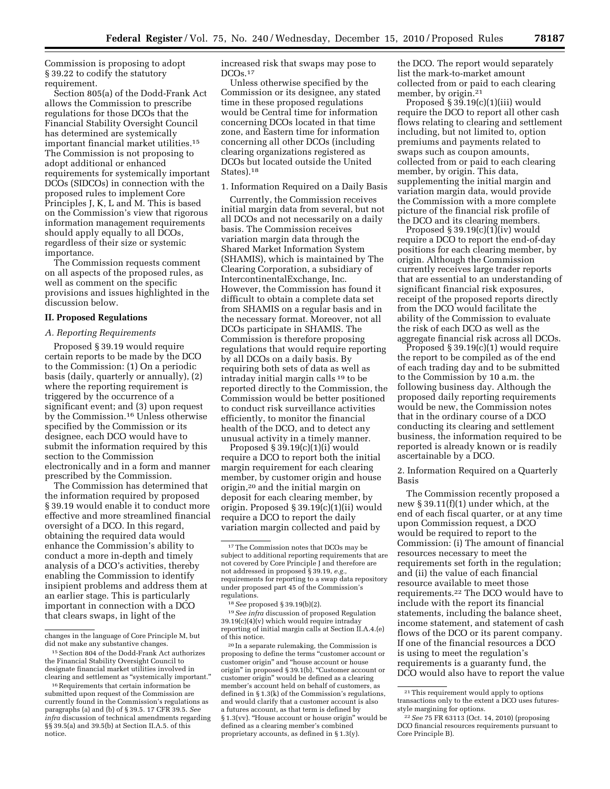Commission is proposing to adopt § 39.22 to codify the statutory requirement.

Section 805(a) of the Dodd-Frank Act allows the Commission to prescribe regulations for those DCOs that the Financial Stability Oversight Council has determined are systemically important financial market utilities.15 The Commission is not proposing to adopt additional or enhanced requirements for systemically important DCOs (SIDCOs) in connection with the proposed rules to implement Core Principles J, K, L and M. This is based on the Commission's view that rigorous information management requirements should apply equally to all DCOs, regardless of their size or systemic importance.

The Commission requests comment on all aspects of the proposed rules, as well as comment on the specific provisions and issues highlighted in the discussion below.

## **II. Proposed Regulations**

## *A. Reporting Requirements*

Proposed § 39.19 would require certain reports to be made by the DCO to the Commission: (1) On a periodic basis (daily, quarterly or annually), (2) where the reporting requirement is triggered by the occurrence of a significant event; and (3) upon request by the Commission.16 Unless otherwise specified by the Commission or its designee, each DCO would have to submit the information required by this section to the Commission electronically and in a form and manner prescribed by the Commission.

The Commission has determined that the information required by proposed § 39.19 would enable it to conduct more effective and more streamlined financial oversight of a DCO. In this regard, obtaining the required data would enhance the Commission's ability to conduct a more in-depth and timely analysis of a DCO's activities, thereby enabling the Commission to identify insipient problems and address them at an earlier stage. This is particularly important in connection with a DCO that clears swaps, in light of the

increased risk that swaps may pose to DCOs.<sup>17</sup>

Unless otherwise specified by the Commission or its designee, any stated time in these proposed regulations would be Central time for information concerning DCOs located in that time zone, and Eastern time for information concerning all other DCOs (including clearing organizations registered as DCOs but located outside the United States).18

1. Information Required on a Daily Basis

Currently, the Commission receives initial margin data from several, but not all DCOs and not necessarily on a daily basis. The Commission receives variation margin data through the Shared Market Information System (SHAMIS), which is maintained by The Clearing Corporation, a subsidiary of IntercontinentalExchange, Inc. However, the Commission has found it difficult to obtain a complete data set from SHAMIS on a regular basis and in the necessary format. Moreover, not all DCOs participate in SHAMIS. The Commission is therefore proposing regulations that would require reporting by all DCOs on a daily basis. By requiring both sets of data as well as intraday initial margin calls 19 to be reported directly to the Commission, the Commission would be better positioned to conduct risk surveillance activities efficiently, to monitor the financial health of the DCO, and to detect any unusual activity in a timely manner.

Proposed  $\S 39.19(c)(1)(i)$  would require a DCO to report both the initial margin requirement for each clearing member, by customer origin and house origin,20 and the initial margin on deposit for each clearing member, by origin. Proposed § 39.19(c)(1)(ii) would require a DCO to report the daily variation margin collected and paid by

19*See infra* discussion of proposed Regulation  $39.19(c)(4)(v)$  which would require intraday reporting of initial margin calls at Section II.A.4.(e) of this notice.

20 In a separate rulemaking, the Commission is proposing to define the terms ''customer account or customer origin'' and ''house account or house origin'' in proposed § 39.1(b). ''Customer account or customer origin'' would be defined as a clearing member's account held on behalf of customers, as defined in § 1.3(k) of the Commission's regulations, and would clarify that a customer account is also a futures account, as that term is defined by § 1.3(vv). "House account or house origin" would be defined as a clearing member's combined proprietary accounts, as defined in § 1.3(y).

the DCO. The report would separately list the mark-to-market amount collected from or paid to each clearing member, by origin.<sup>21</sup>

Proposed § 39.19(c)(1)(iii) would require the DCO to report all other cash flows relating to clearing and settlement including, but not limited to, option premiums and payments related to swaps such as coupon amounts, collected from or paid to each clearing member, by origin. This data, supplementing the initial margin and variation margin data, would provide the Commission with a more complete picture of the financial risk profile of the DCO and its clearing members.

Proposed  $\S 39.19(c)(1)(iv)$  would require a DCO to report the end-of-day positions for each clearing member, by origin. Although the Commission currently receives large trader reports that are essential to an understanding of significant financial risk exposures, receipt of the proposed reports directly from the DCO would facilitate the ability of the Commission to evaluate the risk of each DCO as well as the aggregate financial risk across all DCOs.

Proposed § 39.19(c)(1) would require the report to be compiled as of the end of each trading day and to be submitted to the Commission by 10 a.m. the following business day. Although the proposed daily reporting requirements would be new, the Commission notes that in the ordinary course of a DCO conducting its clearing and settlement business, the information required to be reported is already known or is readily ascertainable by a DCO.

2. Information Required on a Quarterly Basis

The Commission recently proposed a new § 39.11(f)(1) under which, at the end of each fiscal quarter, or at any time upon Commission request, a DCO would be required to report to the Commission: (i) The amount of financial resources necessary to meet the requirements set forth in the regulation; and (ii) the value of each financial resource available to meet those requirements.22 The DCO would have to include with the report its financial statements, including the balance sheet, income statement, and statement of cash flows of the DCO or its parent company. If one of the financial resources a DCO is using to meet the regulation's requirements is a guaranty fund, the DCO would also have to report the value

changes in the language of Core Principle M, but did not make any substantive changes.

<sup>15</sup>Section 804 of the Dodd-Frank Act authorizes the Financial Stability Oversight Council to designate financial market utilities involved in clearing and settlement as ''systemically important.''

<sup>16</sup>Requirements that certain information be submitted upon request of the Commission are currently found in the Commission's regulations as paragraphs (a) and (b) of § 39.5. 17 CFR 39.5. *See infra* discussion of technical amendments regarding §§ 39.5(a) and 39.5(b) at Section II.A.5. of this notice.

<sup>&</sup>lt;sup>17</sup>The Commission notes that DCOs may be subject to additional reporting requirements that are not covered by Core Principle J and therefore are not addressed in proposed § 39.19, *e.g.,*  requirements for reporting to a swap data repository under proposed part 45 of the Commission's regulations.

<sup>18</sup>*See* proposed § 39.19(b)(2).

<sup>21</sup>This requirement would apply to options transactions only to the extent a DCO uses futuresstyle margining for options.

<sup>22</sup>*See* 75 FR 63113 (Oct. 14, 2010) (proposing DCO financial resources requirements pursuant to Core Principle B).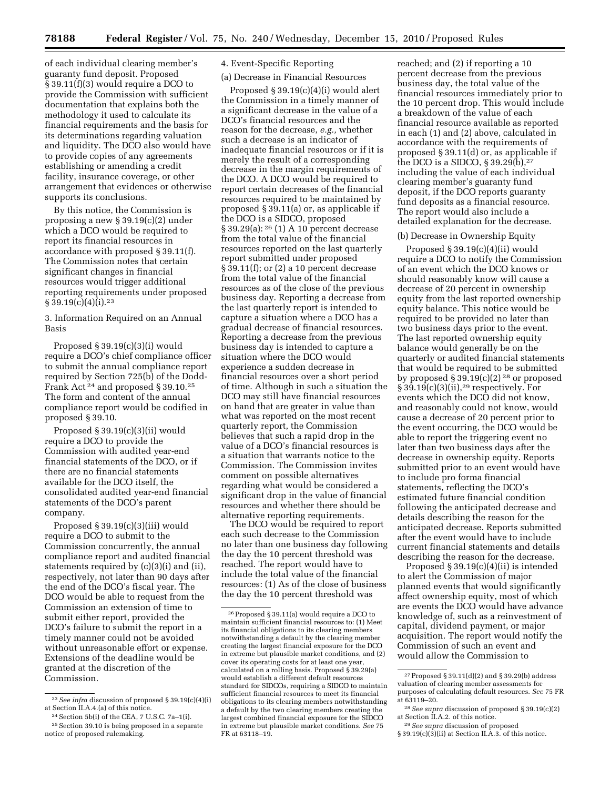of each individual clearing member's guaranty fund deposit. Proposed § 39.11(f)(3) would require a DCO to provide the Commission with sufficient documentation that explains both the methodology it used to calculate its financial requirements and the basis for its determinations regarding valuation and liquidity. The DCO also would have to provide copies of any agreements establishing or amending a credit facility, insurance coverage, or other arrangement that evidences or otherwise supports its conclusions.

By this notice, the Commission is proposing a new § 39.19(c)(2) under which a DCO would be required to report its financial resources in accordance with proposed § 39.11(f). The Commission notes that certain significant changes in financial resources would trigger additional reporting requirements under proposed  $§ 39.19(c)(4)(i).^{23}$ 

3. Information Required on an Annual Basis

Proposed § 39.19(c)(3)(i) would require a DCO's chief compliance officer to submit the annual compliance report required by Section 725(b) of the Dodd-Frank Act 24 and proposed § 39.10.25 The form and content of the annual compliance report would be codified in proposed § 39.10.

Proposed § 39.19(c)(3)(ii) would require a DCO to provide the Commission with audited year-end financial statements of the DCO, or if there are no financial statements available for the DCO itself, the consolidated audited year-end financial statements of the DCO's parent company.

Proposed § 39.19(c)(3)(iii) would require a DCO to submit to the Commission concurrently, the annual compliance report and audited financial statements required by (c)(3)(i) and (ii), respectively, not later than 90 days after the end of the DCO's fiscal year. The DCO would be able to request from the Commission an extension of time to submit either report, provided the DCO's failure to submit the report in a timely manner could not be avoided without unreasonable effort or expense. Extensions of the deadline would be granted at the discretion of the Commission.

# 4. Event-Specific Reporting

(a) Decrease in Financial Resources

Proposed § 39.19(c)(4)(i) would alert the Commission in a timely manner of a significant decrease in the value of a DCO's financial resources and the reason for the decrease, *e.g.,* whether such a decrease is an indicator of inadequate financial resources or if it is merely the result of a corresponding decrease in the margin requirements of the DCO. A DCO would be required to report certain decreases of the financial resources required to be maintained by proposed § 39.11(a) or, as applicable if the DCO is a SIDCO, proposed § 39.29(a): 26 (1) A 10 percent decrease from the total value of the financial resources reported on the last quarterly report submitted under proposed § 39.11(f); or (2) a 10 percent decrease from the total value of the financial resources as of the close of the previous business day. Reporting a decrease from the last quarterly report is intended to capture a situation where a DCO has a gradual decrease of financial resources. Reporting a decrease from the previous business day is intended to capture a situation where the DCO would experience a sudden decrease in financial resources over a short period of time. Although in such a situation the DCO may still have financial resources on hand that are greater in value than what was reported on the most recent quarterly report, the Commission believes that such a rapid drop in the value of a DCO's financial resources is a situation that warrants notice to the Commission. The Commission invites comment on possible alternatives regarding what would be considered a significant drop in the value of financial resources and whether there should be alternative reporting requirements.

The DCO would be required to report each such decrease to the Commission no later than one business day following the day the 10 percent threshold was reached. The report would have to include the total value of the financial resources: (1) As of the close of business the day the 10 percent threshold was

reached; and (2) if reporting a 10 percent decrease from the previous business day, the total value of the financial resources immediately prior to the 10 percent drop. This would include a breakdown of the value of each financial resource available as reported in each (1) and (2) above, calculated in accordance with the requirements of proposed § 39.11(d) or, as applicable if the DCO is a SIDCO,  $\S 39.29(b)$ ,<sup>27</sup> including the value of each individual clearing member's guaranty fund deposit, if the DCO reports guaranty fund deposits as a financial resource. The report would also include a detailed explanation for the decrease.

### (b) Decrease in Ownership Equity

Proposed  $§$  39.19(c)(4)(ii) would require a DCO to notify the Commission of an event which the DCO knows or should reasonably know will cause a decrease of 20 percent in ownership equity from the last reported ownership equity balance. This notice would be required to be provided no later than two business days prior to the event. The last reported ownership equity balance would generally be on the quarterly or audited financial statements that would be required to be submitted by proposed  $\S 39.19(c)(2)^{28}$  or proposed § 39.19(c)(3)(ii),29 respectively. For events which the DCO did not know, and reasonably could not know, would cause a decrease of 20 percent prior to the event occurring, the DCO would be able to report the triggering event no later than two business days after the decrease in ownership equity. Reports submitted prior to an event would have to include pro forma financial statements, reflecting the DCO's estimated future financial condition following the anticipated decrease and details describing the reason for the anticipated decrease. Reports submitted after the event would have to include current financial statements and details describing the reason for the decrease.

Proposed § 39.19(c)(4)(ii) is intended to alert the Commission of major planned events that would significantly affect ownership equity, most of which are events the DCO would have advance knowledge of, such as a reinvestment of capital, dividend payment, or major acquisition. The report would notify the Commission of such an event and would allow the Commission to

<sup>23</sup>*See infra* discussion of proposed § 39.19(c)(4)(i) at Section II.A.4.(a) of this notice.

<sup>24</sup>Section 5b(i) of the CEA, 7 U.S.C. 7a–1(i). 25Section 39.10 is being proposed in a separate

notice of proposed rulemaking.

 $^{26}\rm{Proposed}$ § 39.11(a) would require a DCO to maintain sufficient financial resources to: (1) Meet its financial obligations to its clearing members notwithstanding a default by the clearing member creating the largest financial exposure for the DCO in extreme but plausible market conditions, and (2) cover its operating costs for at least one year, calculated on a rolling basis. Proposed § 39.29(a) would establish a different default resources standard for SIDCOs, requiring a SIDCO to maintain sufficient financial resources to meet its financial obligations to its clearing members notwithstanding a default by the two clearing members creating the largest combined financial exposure for the SIDCO in extreme but plausible market conditions. *See* 75 FR at 63118–19.

<sup>27</sup>Proposed § 39.11(d)(2) and § 39.29(b) address valuation of clearing member assessments for purposes of calculating default resources. *See* 75 FR at 63119–20.

<sup>28</sup>*See supra* discussion of proposed § 39.19(c)(2) at Section II.A.2. of this notice.

<sup>29</sup>*See supra* discussion of proposed

 $\S 39.19(c)(3)(ii)$  at Section II.A.3. of this notice.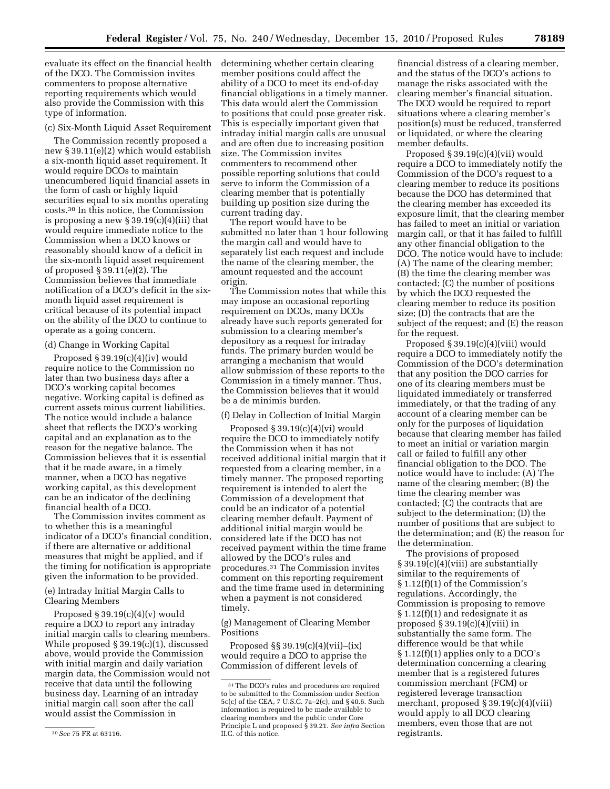evaluate its effect on the financial health of the DCO. The Commission invites commenters to propose alternative reporting requirements which would also provide the Commission with this type of information.

#### (c) Six-Month Liquid Asset Requirement

The Commission recently proposed a new § 39.11(e)(2) which would establish a six-month liquid asset requirement. It would require DCOs to maintain unencumbered liquid financial assets in the form of cash or highly liquid securities equal to six months operating costs.30 In this notice, the Commission is proposing a new  $\S 39.19(c)(4)(iii)$  that would require immediate notice to the Commission when a DCO knows or reasonably should know of a deficit in the six-month liquid asset requirement of proposed § 39.11(e)(2). The Commission believes that immediate notification of a DCO's deficit in the sixmonth liquid asset requirement is critical because of its potential impact on the ability of the DCO to continue to operate as a going concern.

## (d) Change in Working Capital

Proposed § 39.19(c)(4)(iv) would require notice to the Commission no later than two business days after a DCO's working capital becomes negative. Working capital is defined as current assets minus current liabilities. The notice would include a balance sheet that reflects the DCO's working capital and an explanation as to the reason for the negative balance. The Commission believes that it is essential that it be made aware, in a timely manner, when a DCO has negative working capital, as this development can be an indicator of the declining financial health of a DCO.

The Commission invites comment as to whether this is a meaningful indicator of a DCO's financial condition, if there are alternative or additional measures that might be applied, and if the timing for notification is appropriate given the information to be provided.

## (e) Intraday Initial Margin Calls to Clearing Members

Proposed  $\S 39.19(c)(4)(v)$  would require a DCO to report any intraday initial margin calls to clearing members. While proposed § 39.19(c)(1), discussed above, would provide the Commission with initial margin and daily variation margin data, the Commission would not receive that data until the following business day. Learning of an intraday initial margin call soon after the call would assist the Commission in

determining whether certain clearing member positions could affect the ability of a DCO to meet its end-of-day financial obligations in a timely manner. This data would alert the Commission to positions that could pose greater risk. This is especially important given that intraday initial margin calls are unusual and are often due to increasing position size. The Commission invites commenters to recommend other possible reporting solutions that could serve to inform the Commission of a clearing member that is potentially building up position size during the current trading day.

The report would have to be submitted no later than 1 hour following the margin call and would have to separately list each request and include the name of the clearing member, the amount requested and the account origin.

The Commission notes that while this may impose an occasional reporting requirement on DCOs, many DCOs already have such reports generated for submission to a clearing member's depository as a request for intraday funds. The primary burden would be arranging a mechanism that would allow submission of these reports to the Commission in a timely manner. Thus, the Commission believes that it would be a de minimis burden.

### (f) Delay in Collection of Initial Margin

Proposed  $§$  39.19(c)(4)(vi) would require the DCO to immediately notify the Commission when it has not received additional initial margin that it requested from a clearing member, in a timely manner. The proposed reporting requirement is intended to alert the Commission of a development that could be an indicator of a potential clearing member default. Payment of additional initial margin would be considered late if the DCO has not received payment within the time frame allowed by the DCO's rules and procedures.31 The Commission invites comment on this reporting requirement and the time frame used in determining when a payment is not considered timely.

(g) Management of Clearing Member Positions

Proposed §§ 39.19(c)(4)(vii)–(ix) would require a DCO to apprise the Commission of different levels of

financial distress of a clearing member, and the status of the DCO's actions to manage the risks associated with the clearing member's financial situation. The DCO would be required to report situations where a clearing member's position(s) must be reduced, transferred or liquidated, or where the clearing member defaults.

Proposed § 39.19(c)(4)(vii) would require a DCO to immediately notify the Commission of the DCO's request to a clearing member to reduce its positions because the DCO has determined that the clearing member has exceeded its exposure limit, that the clearing member has failed to meet an initial or variation margin call, or that it has failed to fulfill any other financial obligation to the DCO. The notice would have to include: (A) The name of the clearing member; (B) the time the clearing member was contacted; (C) the number of positions by which the DCO requested the clearing member to reduce its position size; (D) the contracts that are the subject of the request; and (E) the reason for the request.

Proposed § 39.19(c)(4)(viii) would require a DCO to immediately notify the Commission of the DCO's determination that any position the DCO carries for one of its clearing members must be liquidated immediately or transferred immediately, or that the trading of any account of a clearing member can be only for the purposes of liquidation because that clearing member has failed to meet an initial or variation margin call or failed to fulfill any other financial obligation to the DCO. The notice would have to include: (A) The name of the clearing member; (B) the time the clearing member was contacted; (C) the contracts that are subject to the determination; (D) the number of positions that are subject to the determination; and (E) the reason for the determination.

The provisions of proposed § 39.19(c)(4)(viii) are substantially similar to the requirements of § 1.12(f)(1) of the Commission's regulations. Accordingly, the Commission is proposing to remove § 1.12(f)(1) and redesignate it as proposed  $\S 39.19(c)(4)$ (viii) in substantially the same form. The difference would be that while § 1.12(f)(1) applies only to a DCO's determination concerning a clearing member that is a registered futures commission merchant (FCM) or registered leverage transaction merchant, proposed § 39.19(c)(4)(viii) would apply to all DCO clearing members, even those that are not registrants.

<sup>30</sup>*See* 75 FR at 63116.

<sup>31</sup>The DCO's rules and procedures are required to be submitted to the Commission under Section 5c(c) of the CEA, 7 U.S.C. 7a–2(c), and § 40.6. Such information is required to be made available to clearing members and the public under Core Principle L and proposed § 39.21. *See infra* Section II.C. of this notice.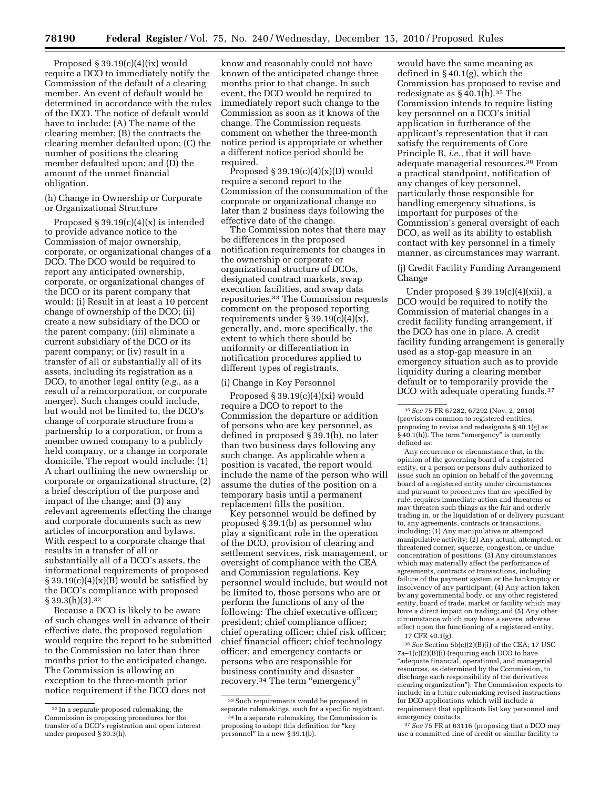Proposed § 39.19(c)(4)(ix) would require a DCO to immediately notify the Commission of the default of a clearing member. An event of default would be determined in accordance with the rules of the DCO. The notice of default would have to include: (A) The name of the clearing member; (B) the contracts the clearing member defaulted upon; (C) the number of positions the clearing member defaulted upon; and (D) the amount of the unmet financial obligation.

## (h) Change in Ownership or Corporate or Organizational Structure

Proposed  $\S 39.19(c)(4)(x)$  is intended to provide advance notice to the Commission of major ownership, corporate, or organizational changes of a DCO. The DCO would be required to report any anticipated ownership, corporate, or organizational changes of the DCO or its parent company that would: (i) Result in at least a 10 percent change of ownership of the DCO; (ii) create a new subsidiary of the DCO or the parent company; (iii) eliminate a current subsidiary of the DCO or its parent company; or (iv) result in a transfer of all or substantially all of its assets, including its registration as a DCO, to another legal entity (*e.g.,* as a result of a reincorporation, or corporate merger). Such changes could include, but would not be limited to, the DCO's change of corporate structure from a partnership to a corporation, or from a member owned company to a publicly held company, or a change in corporate domicile. The report would include: (1) A chart outlining the new ownership or corporate or organizational structure, (2) a brief description of the purpose and impact of the change; and (3) any relevant agreements effecting the change and corporate documents such as new articles of incorporation and bylaws. With respect to a corporate change that results in a transfer of all or substantially all of a DCO's assets, the informational requirements of proposed  $§ 39.19(c)(4)(x)(B)$  would be satisfied by the DCO's compliance with proposed  $§ 39.3(h)(3).$ <sup>32</sup>

Because a DCO is likely to be aware of such changes well in advance of their effective date, the proposed regulation would require the report to be submitted to the Commission no later than three months prior to the anticipated change. The Commission is allowing an exception to the three-month prior notice requirement if the DCO does not

know and reasonably could not have known of the anticipated change three months prior to that change. In such event, the DCO would be required to immediately report such change to the Commission as soon as it knows of the change. The Commission requests comment on whether the three-month notice period is appropriate or whether a different notice period should be required.

Proposed  $\S 39.19(c)(4)(x)(D)$  would require a second report to the Commission of the consummation of the corporate or organizational change no later than 2 business days following the effective date of the change.

The Commission notes that there may be differences in the proposed notification requirements for changes in the ownership or corporate or organizational structure of DCOs, designated contract markets, swap execution facilities, and swap data repositories.33 The Commission requests comment on the proposed reporting requirements under  $\S 39.19(c)(4)(x)$ , generally, and, more specifically, the extent to which there should be uniformity or differentiation in notification procedures applied to different types of registrants.

## (i) Change in Key Personnel

Proposed § 39.19(c)(4)(xi) would require a DCO to report to the Commission the departure or addition of persons who are key personnel, as defined in proposed § 39.1(b), no later than two business days following any such change. As applicable when a position is vacated, the report would include the name of the person who will assume the duties of the position on a temporary basis until a permanent replacement fills the position.

Key personnel would be defined by proposed § 39.1(b) as personnel who play a significant role in the operation of the DCO, provision of clearing and settlement services, risk management, or oversight of compliance with the CEA and Commission regulations. Key personnel would include, but would not be limited to, those persons who are or perform the functions of any of the following: The chief executive officer; president; chief compliance officer; chief operating officer; chief risk officer; chief financial officer; chief technology officer; and emergency contacts or persons who are responsible for business continuity and disaster recovery.<sup>34</sup> The term "emergency"

would have the same meaning as defined in § 40.1(g), which the Commission has proposed to revise and redesignate as  $\S 40.1(h).$ <sup>35</sup> The Commission intends to require listing key personnel on a DCO's initial application in furtherance of the applicant's representation that it can satisfy the requirements of Core Principle B, *i.e.,* that it will have adequate managerial resources.36 From a practical standpoint, notification of any changes of key personnel, particularly those responsible for handling emergency situations, is important for purposes of the Commission's general oversight of each DCO, as well as its ability to establish contact with key personnel in a timely manner, as circumstances may warrant.

## (j) Credit Facility Funding Arrangement Change

Under proposed § 39.19(c)(4)(xii), a DCO would be required to notify the Commission of material changes in a credit facility funding arrangement, if the DCO has one in place. A credit facility funding arrangement is generally used as a stop-gap measure in an emergency situation such as to provide liquidity during a clearing member default or to temporarily provide the DCO with adequate operating funds.<sup>37</sup>

Any occurrence or circumstance that, in the opinion of the governing board of a registered entity, or a person or persons duly authorized to issue such an opinion on behalf of the governing board of a registered entity under circumstances and pursuant to procedures that are specified by rule, requires immediate action and threatens or may threaten such things as the fair and orderly trading in, or the liquidation of or delivery pursuant to, any agreements, contracts or transactions, including: (1) Any manipulative or attempted manipulative activity; (2) Any actual, attempted, or threatened corner, squeeze, congestion, or undue concentration of positions; (3) Any circumstances which may materially affect the performance of agreements, contracts or transactions, including failure of the payment system or the bankruptcy or insolvency of any participant; (4) Any action taken by any governmental body, or any other registered entity, board of trade, market or facility which may have a direct impact on trading; and (5) Any other circumstance which may have a severe, adverse effect upon the functioning of a registered entity.

17 CFR 40.1(g).

36*See* Section 5b(c)(2)(B)(i) of the CEA; 17 USC 7a–1(c)(2)(B)(i) (requiring each DCO to have ''adequate financial, operational, and managerial resources, as determined by the Commission, to discharge each responsibility of the derivatives clearing organization''). The Commission expects to include in a future rulemaking revised instructions for DCO applications which will include a requirement that applicants list key personnel and emergency contacts.

37*See* 75 FR at 63116 (proposing that a DCO may use a committed line of credit or similar facility to

<sup>32</sup> In a separate proposed rulemaking, the Commission is proposing procedures for the transfer of a DCO's registration and open interest under proposed § 39.3(h).

<sup>33</sup>Such requirements would be proposed in separate rulemakings, each for a specific registrant.

<sup>&</sup>lt;sup>34</sup> In a separate rulemaking, the Commission is proposing to adopt this definition for ''key personnel'' in a new § 39.1(b).

<sup>35</sup>*See* 75 FR 67282, 67292 (Nov. 2, 2010) (provisions common to registered entities; proposing to revise and redesignate § 40.1(g) as § 40.1(h)). The term ''emergency'' is currently defined as: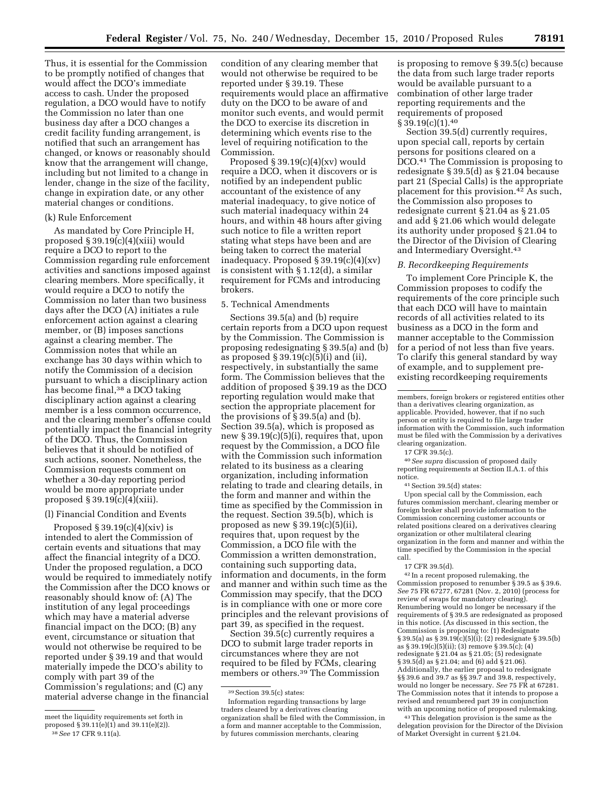Thus, it is essential for the Commission to be promptly notified of changes that would affect the DCO's immediate access to cash. Under the proposed regulation, a DCO would have to notify the Commission no later than one business day after a DCO changes a credit facility funding arrangement, is notified that such an arrangement has changed, or knows or reasonably should know that the arrangement will change, including but not limited to a change in lender, change in the size of the facility, change in expiration date, or any other material changes or conditions.

## (k) Rule Enforcement

As mandated by Core Principle H, proposed § 39.19(c)(4)(xiii) would require a DCO to report to the Commission regarding rule enforcement activities and sanctions imposed against clearing members. More specifically, it would require a DCO to notify the Commission no later than two business days after the DCO (A) initiates a rule enforcement action against a clearing member, or (B) imposes sanctions against a clearing member. The Commission notes that while an exchange has 30 days within which to notify the Commission of a decision pursuant to which a disciplinary action has become final,<sup>38</sup> a DCO taking disciplinary action against a clearing member is a less common occurrence, and the clearing member's offense could potentially impact the financial integrity of the DCO. Thus, the Commission believes that it should be notified of such actions, sooner. Nonetheless, the Commission requests comment on whether a 30-day reporting period would be more appropriate under proposed  $\S 39.19(c)(4)(xiii)$ .

### (l) Financial Condition and Events

Proposed  $\S 39.19(c)(4)(xiv)$  is intended to alert the Commission of certain events and situations that may affect the financial integrity of a DCO. Under the proposed regulation, a DCO would be required to immediately notify the Commission after the DCO knows or reasonably should know of: (A) The institution of any legal proceedings which may have a material adverse financial impact on the DCO; (B) any event, circumstance or situation that would not otherwise be required to be reported under § 39.19 and that would materially impede the DCO's ability to comply with part 39 of the Commission's regulations; and (C) any material adverse change in the financial

condition of any clearing member that would not otherwise be required to be reported under § 39.19. These requirements would place an affirmative duty on the DCO to be aware of and monitor such events, and would permit the DCO to exercise its discretion in determining which events rise to the level of requiring notification to the Commission.

Proposed  $\S 39.19(c)(4)(xv)$  would require a DCO, when it discovers or is notified by an independent public accountant of the existence of any material inadequacy, to give notice of such material inadequacy within 24 hours, and within 48 hours after giving such notice to file a written report stating what steps have been and are being taken to correct the material inadequacy. Proposed § 39.19(c)(4)(xv) is consistent with § 1.12(d), a similar requirement for FCMs and introducing brokers.

## 5. Technical Amendments

Sections 39.5(a) and (b) require certain reports from a DCO upon request by the Commission. The Commission is proposing redesignating § 39.5(a) and (b) as proposed  $\S 39.19(c)(5)(i)$  and (ii), respectively, in substantially the same form. The Commission believes that the addition of proposed § 39.19 as the DCO reporting regulation would make that section the appropriate placement for the provisions of § 39.5(a) and (b). Section 39.5(a), which is proposed as new § 39.19(c)(5)(i), requires that, upon request by the Commission, a DCO file with the Commission such information related to its business as a clearing organization, including information relating to trade and clearing details, in the form and manner and within the time as specified by the Commission in the request. Section 39.5(b), which is proposed as new  $\S 39.19(c)(5)(ii)$ , requires that, upon request by the Commission, a DCO file with the Commission a written demonstration, containing such supporting data, information and documents, in the form and manner and within such time as the Commission may specify, that the DCO is in compliance with one or more core principles and the relevant provisions of part 39, as specified in the request.

Section 39.5(c) currently requires a DCO to submit large trader reports in circumstances where they are not required to be filed by FCMs, clearing members or others.39 The Commission is proposing to remove § 39.5(c) because the data from such large trader reports would be available pursuant to a combination of other large trader reporting requirements and the requirements of proposed § 39.19(c)(1).<sup>40</sup>

Section 39.5(d) currently requires, upon special call, reports by certain persons for positions cleared on a DCO.41 The Commission is proposing to redesignate § 39.5(d) as § 21.04 because part 21 (Special Calls) is the appropriate placement for this provision.42 As such, the Commission also proposes to redesignate current § 21.04 as § 21.05 and add § 21.06 which would delegate its authority under proposed § 21.04 to the Director of the Division of Clearing and Intermediary Oversight.43

### *B. Recordkeeping Requirements*

To implement Core Principle K, the Commission proposes to codify the requirements of the core principle such that each DCO will have to maintain records of all activities related to its business as a DCO in the form and manner acceptable to the Commission for a period of not less than five years. To clarify this general standard by way of example, and to supplement preexisting recordkeeping requirements

members, foreign brokers or registered entities other than a derivatives clearing organization, as applicable. Provided, however, that if no such person or entity is required to file large trader information with the Commission, such information must be filed with the Commission by a derivatives clearing organization.

17 CFR 39.5(c).

40*See supra* discussion of proposed daily reporting requirements at Section II.A.1. of this notice.

41Section 39.5(d) states:

Upon special call by the Commission, each futures commission merchant, clearing member or foreign broker shall provide information to the Commission concerning customer accounts or related positions cleared on a derivatives clearing organization or other multilateral clearing organization in the form and manner and within the time specified by the Commission in the special call.

42 In a recent proposed rulemaking, the Commission proposed to renumber § 39.5 as § 39.6. *See* 75 FR 67277, 67281 (Nov. 2, 2010) (process for review of swaps for mandatory clearing). Renumbering would no longer be necessary if the requirements of § 39.5 are redesignated as proposed in this notice. (As discussed in this section, the Commission is proposing to: (1) Redesignate § 39.5(a) as § 39.19(c)(5)(i); (2) redesignate § 39.5(b) as § 39.19(c)(5)(ii); (3) remove § 39.5(c); (4) redesignate § 21.04 as § 21.05; (5) redesignate § 39.5(d) as § 21.04; and (6) add § 21.06). Additionally, the earlier proposal to redesignate §§ 39.6 and 39.7 as §§ 39.7 and 39.8, respectively, would no longer be necessary. *See* 75 FR at 67281. The Commission notes that it intends to propose a revised and renumbered part 39 in conjunction with an upcoming notice of proposed rulemaking.

43This delegation provision is the same as the delegation provision for the Director of the Division of Market Oversight in current § 21.04.

meet the liquidity requirements set forth in proposed § 39.11(e)(1) and 39.11(e)(2)).

<sup>38</sup>*See* 17 CFR 9.11(a).

 $^{39}\rm{Section}$   $39.5(c)$  states:

Information regarding transactions by large traders cleared by a derivatives clearing organization shall be filed with the Commission, in a form and manner acceptable to the Commission, by futures commission merchants, clearing

<sup>17</sup> CFR 39.5(d).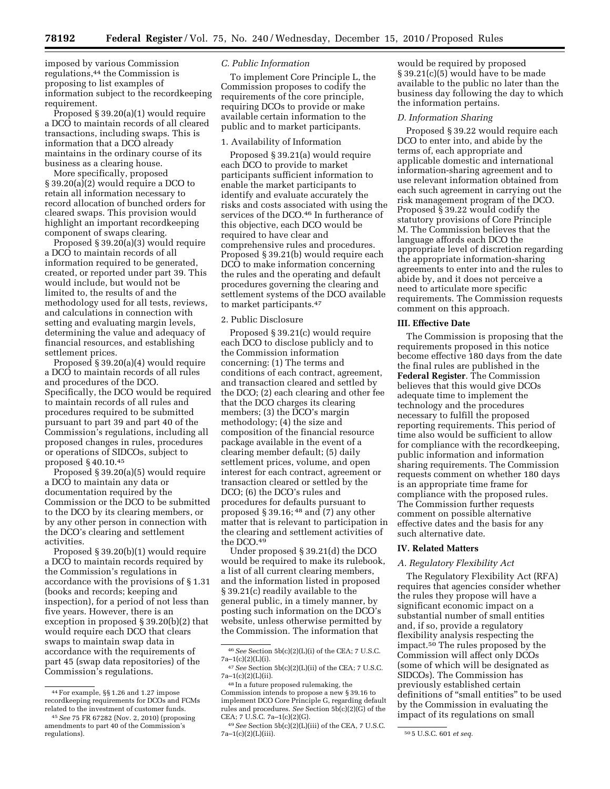imposed by various Commission regulations,44 the Commission is proposing to list examples of information subject to the recordkeeping requirement.

Proposed § 39.20(a)(1) would require a DCO to maintain records of all cleared transactions, including swaps. This is information that a DCO already maintains in the ordinary course of its business as a clearing house.

More specifically, proposed § 39.20(a)(2) would require a DCO to retain all information necessary to record allocation of bunched orders for cleared swaps. This provision would highlight an important recordkeeping component of swaps clearing.

Proposed § 39.20(a)(3) would require a DCO to maintain records of all information required to be generated, created, or reported under part 39. This would include, but would not be limited to, the results of and the methodology used for all tests, reviews, and calculations in connection with setting and evaluating margin levels, determining the value and adequacy of financial resources, and establishing settlement prices.

Proposed § 39.20(a)(4) would require a DCO to maintain records of all rules and procedures of the DCO. Specifically, the DCO would be required to maintain records of all rules and procedures required to be submitted pursuant to part 39 and part 40 of the Commission's regulations, including all proposed changes in rules, procedures or operations of SIDCOs, subject to proposed § 40.10.45

Proposed § 39.20(a)(5) would require a DCO to maintain any data or documentation required by the Commission or the DCO to be submitted to the DCO by its clearing members, or by any other person in connection with the DCO's clearing and settlement activities.

Proposed § 39.20(b)(1) would require a DCO to maintain records required by the Commission's regulations in accordance with the provisions of § 1.31 (books and records; keeping and inspection), for a period of not less than five years. However, there is an exception in proposed § 39.20(b)(2) that would require each DCO that clears swaps to maintain swap data in accordance with the requirements of part 45 (swap data repositories) of the Commission's regulations.

## *C. Public Information*

To implement Core Principle L, the Commission proposes to codify the requirements of the core principle, requiring DCOs to provide or make available certain information to the public and to market participants.

#### 1. Availability of Information

Proposed § 39.21(a) would require each DCO to provide to market participants sufficient information to enable the market participants to identify and evaluate accurately the risks and costs associated with using the services of the DCO.46 In furtherance of this objective, each DCO would be required to have clear and comprehensive rules and procedures. Proposed § 39.21(b) would require each DCO to make information concerning the rules and the operating and default procedures governing the clearing and settlement systems of the DCO available to market participants.47

#### 2. Public Disclosure

Proposed § 39.21(c) would require each DCO to disclose publicly and to the Commission information concerning: (1) The terms and conditions of each contract, agreement, and transaction cleared and settled by the DCO; (2) each clearing and other fee that the DCO charges its clearing members; (3) the DCO's margin methodology; (4) the size and composition of the financial resource package available in the event of a clearing member default; (5) daily settlement prices, volume, and open interest for each contract, agreement or transaction cleared or settled by the DCO; (6) the DCO's rules and procedures for defaults pursuant to proposed § 39.16; 48 and (7) any other matter that is relevant to participation in the clearing and settlement activities of the DCO.49

Under proposed § 39.21(d) the DCO would be required to make its rulebook, a list of all current clearing members, and the information listed in proposed § 39.21(c) readily available to the general public, in a timely manner, by posting such information on the DCO's website, unless otherwise permitted by the Commission. The information that

would be required by proposed § 39.21(c)(5) would have to be made available to the public no later than the business day following the day to which the information pertains.

#### *D. Information Sharing*

Proposed § 39.22 would require each DCO to enter into, and abide by the terms of, each appropriate and applicable domestic and international information-sharing agreement and to use relevant information obtained from each such agreement in carrying out the risk management program of the DCO. Proposed § 39.22 would codify the statutory provisions of Core Principle M. The Commission believes that the language affords each DCO the appropriate level of discretion regarding the appropriate information-sharing agreements to enter into and the rules to abide by, and it does not perceive a need to articulate more specific requirements. The Commission requests comment on this approach.

## **III. Effective Date**

The Commission is proposing that the requirements proposed in this notice become effective 180 days from the date the final rules are published in the **Federal Register**. The Commission believes that this would give DCOs adequate time to implement the technology and the procedures necessary to fulfill the proposed reporting requirements. This period of time also would be sufficient to allow for compliance with the recordkeeping, public information and information sharing requirements. The Commission requests comment on whether 180 days is an appropriate time frame for compliance with the proposed rules. The Commission further requests comment on possible alternative effective dates and the basis for any such alternative date.

#### **IV. Related Matters**

### *A. Regulatory Flexibility Act*

The Regulatory Flexibility Act (RFA) requires that agencies consider whether the rules they propose will have a significant economic impact on a substantial number of small entities and, if so, provide a regulatory flexibility analysis respecting the impact.50 The rules proposed by the Commission will affect only DCOs (some of which will be designated as SIDCOs). The Commission has previously established certain definitions of ''small entities'' to be used by the Commission in evaluating the impact of its regulations on small

<sup>44</sup>For example, §§ 1.26 and 1.27 impose recordkeeping requirements for DCOs and FCMs related to the investment of customer funds.

<sup>45</sup>*See* 75 FR 67282 (Nov. 2, 2010) (proposing amendments to part 40 of the Commission's regulations).

 $^{46}See$  Section 5b(c)(2)(L)(i) of the CEA; 7 U.S.C.  $7a-1(c)(2)(L)(i)$ .

<sup>47</sup>*See* Section 5b(c)(2)(L)(ii) of the CEA; 7 U.S.C.  $7a-1(c)(2)(L)(ii)$ .

<sup>48</sup> In a future proposed rulemaking, the Commission intends to propose a new § 39.16 to implement DCO Core Principle G, regarding default rules and procedures. *See* Section 5b(c)(2)(G) of the CEA; 7 U.S.C. 7a–1(c)(2)(G).

<sup>49</sup>*See* Section 5b(c)(2)(L)(iii) of the CEA, 7 U.S.C.

<sup>7</sup>a–1(c)(2)(L)(iii). 50 5 U.S.C. 601 *et seq.*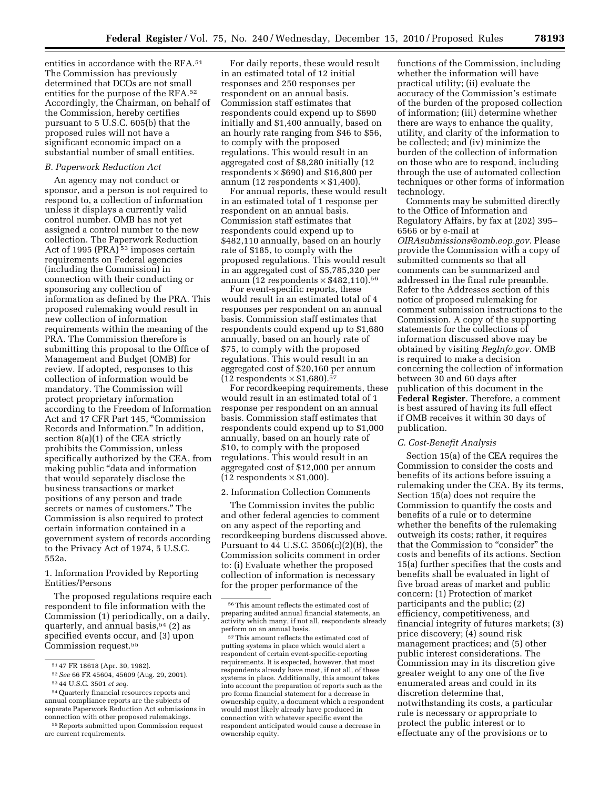entities in accordance with the RFA.51 The Commission has previously determined that DCOs are not small entities for the purpose of the RFA.52 Accordingly, the Chairman, on behalf of the Commission, hereby certifies pursuant to 5 U.S.C. 605(b) that the proposed rules will not have a significant economic impact on a substantial number of small entities.

### *B. Paperwork Reduction Act*

An agency may not conduct or sponsor, and a person is not required to respond to, a collection of information unless it displays a currently valid control number. OMB has not yet assigned a control number to the new collection. The Paperwork Reduction Act of 1995 (PRA)<sup>53</sup> imposes certain requirements on Federal agencies (including the Commission) in connection with their conducting or sponsoring any collection of information as defined by the PRA. This proposed rulemaking would result in new collection of information requirements within the meaning of the PRA. The Commission therefore is submitting this proposal to the Office of Management and Budget (OMB) for review. If adopted, responses to this collection of information would be mandatory. The Commission will protect proprietary information according to the Freedom of Information Act and 17 CFR Part 145, ''Commission Records and Information.'' In addition, section 8(a)(1) of the CEA strictly prohibits the Commission, unless specifically authorized by the CEA, from making public ''data and information that would separately disclose the business transactions or market positions of any person and trade secrets or names of customers.'' The Commission is also required to protect certain information contained in a government system of records according to the Privacy Act of 1974, 5 U.S.C. 552a.

1. Information Provided by Reporting Entities/Persons

The proposed regulations require each respondent to file information with the Commission (1) periodically, on a daily, quarterly, and annual basis,  $54$  (2) as specified events occur, and (3) upon Commission request.55

For daily reports, these would result in an estimated total of 12 initial responses and 250 responses per respondent on an annual basis. Commission staff estimates that respondents could expend up to \$690 initially and \$1,400 annually, based on an hourly rate ranging from \$46 to \$56, to comply with the proposed regulations. This would result in an aggregated cost of \$8,280 initially (12 respondents  $\times$  \$690) and \$16,800 per annum (12 respondents  $\times$  \$1,400).

For annual reports, these would result in an estimated total of 1 response per respondent on an annual basis. Commission staff estimates that respondents could expend up to \$482,110 annually, based on an hourly rate of \$185, to comply with the proposed regulations. This would result in an aggregated cost of \$5,785,320 per annum (12 respondents  $\times$  \$482,110).<sup>56</sup>

For event-specific reports, these would result in an estimated total of 4 responses per respondent on an annual basis. Commission staff estimates that respondents could expend up to \$1,680 annually, based on an hourly rate of \$75, to comply with the proposed regulations. This would result in an aggregated cost of \$20,160 per annum  $(12$  respondents  $\times$  \$1,680).<sup>57</sup>

For recordkeeping requirements, these would result in an estimated total of 1 response per respondent on an annual basis. Commission staff estimates that respondents could expend up to \$1,000 annually, based on an hourly rate of \$10, to comply with the proposed regulations. This would result in an aggregated cost of \$12,000 per annum  $(12$  respondents  $\times$  \$1,000).

#### 2. Information Collection Comments

The Commission invites the public and other federal agencies to comment on any aspect of the reporting and recordkeeping burdens discussed above. Pursuant to 44 U.S.C. 3506(c)(2)(B), the Commission solicits comment in order to: (i) Evaluate whether the proposed collection of information is necessary for the proper performance of the

functions of the Commission, including whether the information will have practical utility; (ii) evaluate the accuracy of the Commission's estimate of the burden of the proposed collection of information; (iii) determine whether there are ways to enhance the quality, utility, and clarity of the information to be collected; and (iv) minimize the burden of the collection of information on those who are to respond, including through the use of automated collection techniques or other forms of information technology.

Comments may be submitted directly to the Office of Information and Regulatory Affairs, by fax at (202) 395– 6566 or by e-mail at *[OIRAsubmissions@omb.eop.gov.](mailto:OIRAsubmissions@omb.eop.gov)* Please provide the Commission with a copy of submitted comments so that all comments can be summarized and addressed in the final rule preamble. Refer to the Addresses section of this notice of proposed rulemaking for comment submission instructions to the Commission. A copy of the supporting statements for the collections of information discussed above may be obtained by visiting *RegInfo.gov.* OMB is required to make a decision concerning the collection of information between 30 and 60 days after publication of this document in the **Federal Register**. Therefore, a comment is best assured of having its full effect if OMB receives it within 30 days of publication.

## *C. Cost-Benefit Analysis*

Section 15(a) of the CEA requires the Commission to consider the costs and benefits of its actions before issuing a rulemaking under the CEA. By its terms, Section 15(a) does not require the Commission to quantify the costs and benefits of a rule or to determine whether the benefits of the rulemaking outweigh its costs; rather, it requires that the Commission to "consider" the costs and benefits of its actions. Section 15(a) further specifies that the costs and benefits shall be evaluated in light of five broad areas of market and public concern: (1) Protection of market participants and the public; (2) efficiency, competitiveness, and financial integrity of futures markets; (3) price discovery; (4) sound risk management practices; and (5) other public interest considerations. The Commission may in its discretion give greater weight to any one of the five enumerated areas and could in its discretion determine that, notwithstanding its costs, a particular rule is necessary or appropriate to protect the public interest or to effectuate any of the provisions or to

<sup>51</sup> 47 FR 18618 (Apr. 30, 1982).

<sup>52</sup>*See* 66 FR 45604, 45609 (Aug. 29, 2001). 53 44 U.S.C. 3501 *et seq.* 

<sup>54</sup>Quarterly financial resources reports and annual compliance reports are the subjects of separate Paperwork Reduction Act submissions in connection with other proposed rulemakings.

<sup>55</sup>Reports submitted upon Commission request are current requirements.

<sup>56</sup>This amount reflects the estimated cost of preparing audited annual financial statements, an activity which many, if not all, respondents already perform on an annual basis.

<sup>57</sup>This amount reflects the estimated cost of putting systems in place which would alert a respondent of certain event-specific-reporting requirements. It is expected, however, that most respondents already have most, if not all, of these systems in place. Additionally, this amount takes into account the preparation of reports such as the pro forma financial statement for a decrease in ownership equity, a document which a respondent would most likely already have produced in connection with whatever specific event the respondent anticipated would cause a decrease in ownership equity.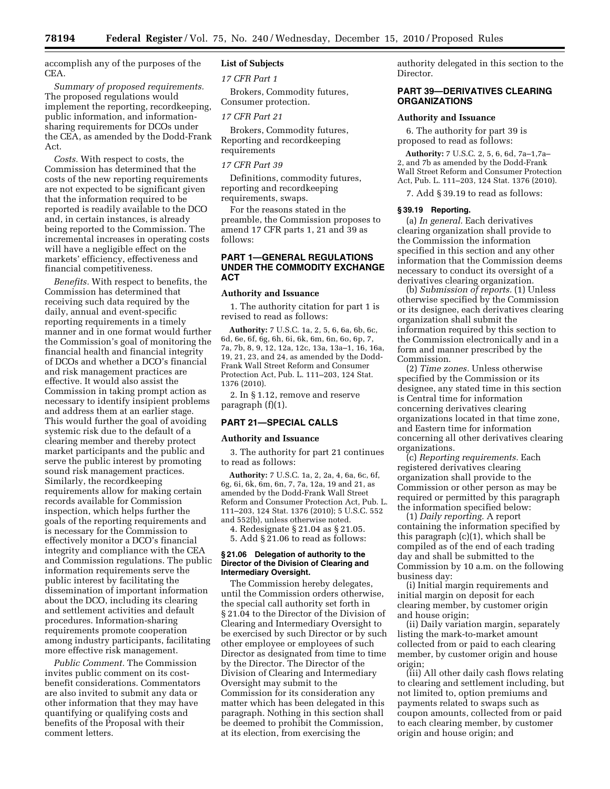accomplish any of the purposes of the CEA.

*Summary of proposed requirements.*  The proposed regulations would implement the reporting, recordkeeping, public information, and informationsharing requirements for DCOs under the CEA, as amended by the Dodd-Frank Act.

*Costs.* With respect to costs, the Commission has determined that the costs of the new reporting requirements are not expected to be significant given that the information required to be reported is readily available to the DCO and, in certain instances, is already being reported to the Commission. The incremental increases in operating costs will have a negligible effect on the markets' efficiency, effectiveness and financial competitiveness.

*Benefits.* With respect to benefits, the Commission has determined that receiving such data required by the daily, annual and event-specific reporting requirements in a timely manner and in one format would further the Commission's goal of monitoring the financial health and financial integrity of DCOs and whether a DCO's financial and risk management practices are effective. It would also assist the Commission in taking prompt action as necessary to identify insipient problems and address them at an earlier stage. This would further the goal of avoiding systemic risk due to the default of a clearing member and thereby protect market participants and the public and serve the public interest by promoting sound risk management practices. Similarly, the recordkeeping requirements allow for making certain records available for Commission inspection, which helps further the goals of the reporting requirements and is necessary for the Commission to effectively monitor a DCO's financial integrity and compliance with the CEA and Commission regulations. The public information requirements serve the public interest by facilitating the dissemination of important information about the DCO, including its clearing and settlement activities and default procedures. Information-sharing requirements promote cooperation among industry participants, facilitating more effective risk management.

*Public Comment.* The Commission invites public comment on its costbenefit considerations. Commentators are also invited to submit any data or other information that they may have quantifying or qualifying costs and benefits of the Proposal with their comment letters.

# **List of Subjects**

*17 CFR Part 1* 

Brokers, Commodity futures, Consumer protection.

#### *17 CFR Part 21*

Brokers, Commodity futures, Reporting and recordkeeping requirements

## *17 CFR Part 39*

Definitions, commodity futures, reporting and recordkeeping requirements, swaps.

For the reasons stated in the preamble, the Commission proposes to amend 17 CFR parts 1, 21 and 39 as follows:

## **PART 1—GENERAL REGULATIONS UNDER THE COMMODITY EXCHANGE ACT**

### **Authority and Issuance**

1. The authority citation for part 1 is revised to read as follows:

**Authority:** 7 U.S.C. 1a, 2, 5, 6, 6a, 6b, 6c, 6d, 6e, 6f, 6g, 6h, 6i, 6k, 6m, 6n, 6o, 6p, 7, 7a, 7b, 8, 9, 12, 12a, 12c, 13a, 13a–1, 16, 16a, 19, 21, 23, and 24, as amended by the Dodd-Frank Wall Street Reform and Consumer Protection Act, Pub. L. 111–203, 124 Stat. 1376 (2010).

2. In § 1.12, remove and reserve paragraph (f)(1).

## **PART 21—SPECIAL CALLS**

### **Authority and Issuance**

3. The authority for part 21 continues to read as follows:

**Authority:** 7 U.S.C. 1a, 2, 2a, 4, 6a, 6c, 6f, 6g, 6i, 6k, 6m, 6n, 7, 7a, 12a, 19 and 21, as amended by the Dodd-Frank Wall Street Reform and Consumer Protection Act, Pub. L. 111–203, 124 Stat. 1376 (2010); 5 U.S.C. 552 and 552(b), unless otherwise noted.

4. Redesignate § 21.04 as § 21.05.

5. Add § 21.06 to read as follows:

### **§ 21.06 Delegation of authority to the Director of the Division of Clearing and Intermediary Oversight.**

The Commission hereby delegates, until the Commission orders otherwise, the special call authority set forth in § 21.04 to the Director of the Division of Clearing and Intermediary Oversight to be exercised by such Director or by such other employee or employees of such Director as designated from time to time by the Director. The Director of the Division of Clearing and Intermediary Oversight may submit to the Commission for its consideration any matter which has been delegated in this paragraph. Nothing in this section shall be deemed to prohibit the Commission, at its election, from exercising the

authority delegated in this section to the Director.

## **PART 39—DERIVATIVES CLEARING ORGANIZATIONS**

#### **Authority and Issuance**

6. The authority for part 39 is proposed to read as follows:

**Authority:** 7 U.S.C. 2, 5, 6, 6d, 7a–1,7a– 2, and 7b as amended by the Dodd-Frank Wall Street Reform and Consumer Protection Act, Pub. L. 111–203, 124 Stat. 1376 (2010).

7. Add § 39.19 to read as follows:

#### **§ 39.19 Reporting.**

(a) *In general.* Each derivatives clearing organization shall provide to the Commission the information specified in this section and any other information that the Commission deems necessary to conduct its oversight of a derivatives clearing organization.

(b) *Submission of reports.* (1) Unless otherwise specified by the Commission or its designee, each derivatives clearing organization shall submit the information required by this section to the Commission electronically and in a form and manner prescribed by the Commission.

(2) *Time zones.* Unless otherwise specified by the Commission or its designee, any stated time in this section is Central time for information concerning derivatives clearing organizations located in that time zone, and Eastern time for information concerning all other derivatives clearing organizations.

(c) *Reporting requirements.* Each registered derivatives clearing organization shall provide to the Commission or other person as may be required or permitted by this paragraph the information specified below:

(1) *Daily reporting.* A report containing the information specified by this paragraph (c)(1), which shall be compiled as of the end of each trading day and shall be submitted to the Commission by 10 a.m. on the following business day:

(i) Initial margin requirements and initial margin on deposit for each clearing member, by customer origin and house origin;

(ii) Daily variation margin, separately listing the mark-to-market amount collected from or paid to each clearing member, by customer origin and house origin;

(iii) All other daily cash flows relating to clearing and settlement including, but not limited to, option premiums and payments related to swaps such as coupon amounts, collected from or paid to each clearing member, by customer origin and house origin; and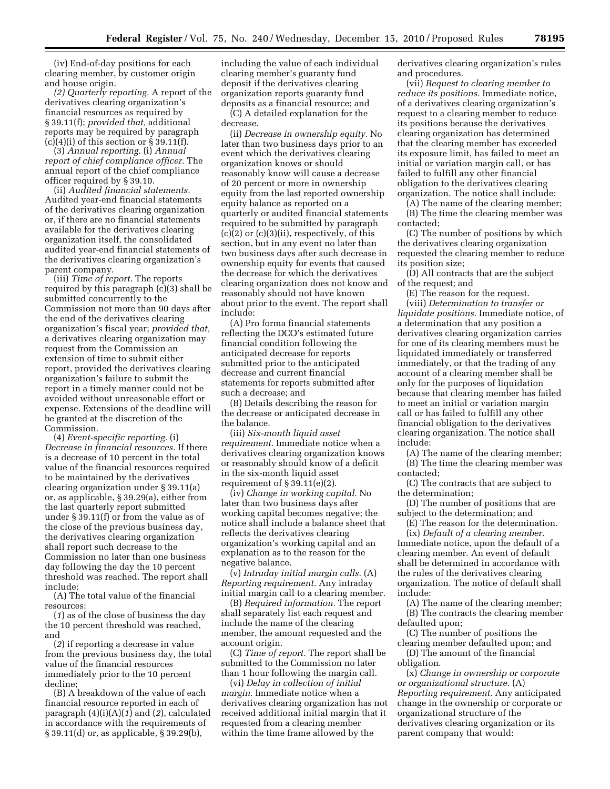(iv) End-of-day positions for each clearing member, by customer origin and house origin.

*(2) Quarterly reporting.* A report of the derivatives clearing organization's financial resources as required by § 39.11(f); *provided that,* additional reports may be required by paragraph  $(c)(4)(i)$  of this section or § 39.11(f).

(3) *Annual reporting.* (i) *Annual report of chief compliance officer.* The annual report of the chief compliance officer required by § 39.10.

(ii) *Audited financial statements.*  Audited year-end financial statements of the derivatives clearing organization or, if there are no financial statements available for the derivatives clearing organization itself, the consolidated audited year-end financial statements of the derivatives clearing organization's parent company.

(iii) *Time of report.* The reports required by this paragraph (c)(3) shall be submitted concurrently to the Commission not more than 90 days after the end of the derivatives clearing organization's fiscal year; *provided that,*  a derivatives clearing organization may request from the Commission an extension of time to submit either report, provided the derivatives clearing organization's failure to submit the report in a timely manner could not be avoided without unreasonable effort or expense. Extensions of the deadline will be granted at the discretion of the Commission.

(4) *Event-specific reporting.* (i) *Decrease in financial resources.* If there is a decrease of 10 percent in the total value of the financial resources required to be maintained by the derivatives clearing organization under § 39.11(a) or, as applicable, § 39.29(a), either from the last quarterly report submitted under § 39.11(f) or from the value as of the close of the previous business day, the derivatives clearing organization shall report such decrease to the Commission no later than one business day following the day the 10 percent threshold was reached. The report shall include:

(A) The total value of the financial resources:

(*1*) as of the close of business the day the 10 percent threshold was reached, and

(*2*) if reporting a decrease in value from the previous business day, the total value of the financial resources immediately prior to the 10 percent decline;

(B) A breakdown of the value of each financial resource reported in each of paragraph (4)(i)(A)(*1*) and (*2*), calculated in accordance with the requirements of § 39.11(d) or, as applicable, § 39.29(b),

including the value of each individual clearing member's guaranty fund deposit if the derivatives clearing organization reports guaranty fund deposits as a financial resource; and

(C) A detailed explanation for the decrease.

(ii) *Decrease in ownership equity.* No later than two business days prior to an event which the derivatives clearing organization knows or should reasonably know will cause a decrease of 20 percent or more in ownership equity from the last reported ownership equity balance as reported on a quarterly or audited financial statements required to be submitted by paragraph  $(c)(2)$  or  $(c)(3)(ii)$ , respectively, of this section, but in any event no later than two business days after such decrease in ownership equity for events that caused the decrease for which the derivatives clearing organization does not know and reasonably should not have known about prior to the event. The report shall include:

(A) Pro forma financial statements reflecting the DCO's estimated future financial condition following the anticipated decrease for reports submitted prior to the anticipated decrease and current financial statements for reports submitted after such a decrease; and

(B) Details describing the reason for the decrease or anticipated decrease in the balance.

(iii) *Six-month liquid asset requirement.* Immediate notice when a derivatives clearing organization knows or reasonably should know of a deficit in the six-month liquid asset requirement of  $\S 39.11(e)(2)$ .

(iv) *Change in working capital.* No later than two business days after working capital becomes negative; the notice shall include a balance sheet that reflects the derivatives clearing organization's working capital and an explanation as to the reason for the negative balance.

(v) *Intraday initial margin calls.* (A) *Reporting requirement.* Any intraday initial margin call to a clearing member.

(B) *Required information.* The report shall separately list each request and include the name of the clearing member, the amount requested and the account origin.

(C) *Time of report.* The report shall be submitted to the Commission no later than 1 hour following the margin call.

(vi) *Delay in collection of initial margin.* Immediate notice when a derivatives clearing organization has not received additional initial margin that it requested from a clearing member within the time frame allowed by the

derivatives clearing organization's rules and procedures.

(vii) *Request to clearing member to reduce its positions.* Immediate notice, of a derivatives clearing organization's request to a clearing member to reduce its positions because the derivatives clearing organization has determined that the clearing member has exceeded its exposure limit, has failed to meet an initial or variation margin call, or has failed to fulfill any other financial obligation to the derivatives clearing organization. The notice shall include:

(A) The name of the clearing member;

(B) The time the clearing member was contacted;

(C) The number of positions by which the derivatives clearing organization requested the clearing member to reduce its position size;

(D) All contracts that are the subject of the request; and

(E) The reason for the request.

(viii) *Determination to transfer or liquidate positions.* Immediate notice, of a determination that any position a derivatives clearing organization carries for one of its clearing members must be liquidated immediately or transferred immediately, or that the trading of any account of a clearing member shall be only for the purposes of liquidation because that clearing member has failed to meet an initial or variation margin call or has failed to fulfill any other financial obligation to the derivatives clearing organization. The notice shall include:

(A) The name of the clearing member; (B) The time the clearing member was contacted;

(C) The contracts that are subject to the determination;

(D) The number of positions that are subject to the determination; and

(E) The reason for the determination. (ix) *Default of a clearing member.*  Immediate notice, upon the default of a clearing member. An event of default shall be determined in accordance with the rules of the derivatives clearing organization. The notice of default shall include:

(A) The name of the clearing member; (B) The contracts the clearing member defaulted upon;

(C) The number of positions the

clearing member defaulted upon; and (D) The amount of the financial obligation.

(x) *Change in ownership or corporate or organizational structure.* (A) *Reporting requirement.* Any anticipated change in the ownership or corporate or organizational structure of the derivatives clearing organization or its parent company that would: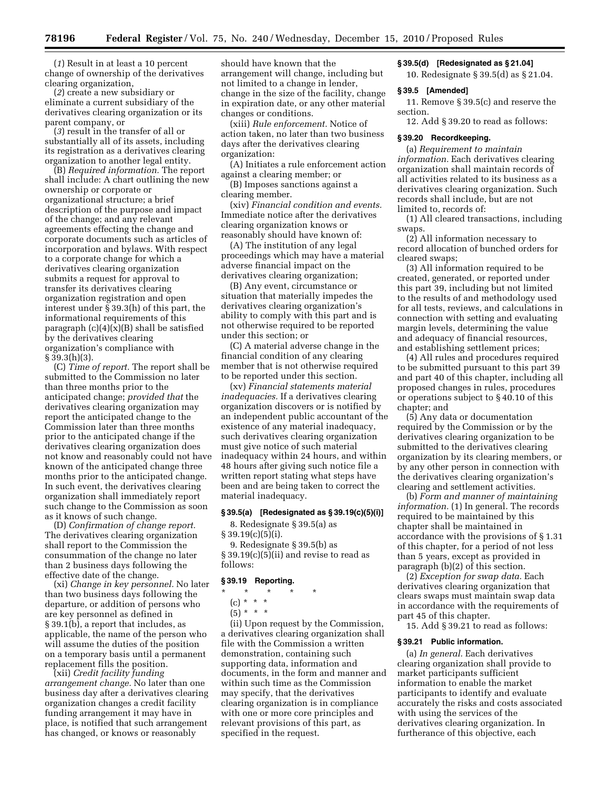(*1*) Result in at least a 10 percent change of ownership of the derivatives clearing organization,

(*2*) create a new subsidiary or eliminate a current subsidiary of the derivatives clearing organization or its parent company, or

(*3*) result in the transfer of all or substantially all of its assets, including its registration as a derivatives clearing organization to another legal entity.

(B) *Required information.* The report shall include: A chart outlining the new ownership or corporate or organizational structure; a brief description of the purpose and impact of the change; and any relevant agreements effecting the change and corporate documents such as articles of incorporation and bylaws. With respect to a corporate change for which a derivatives clearing organization submits a request for approval to transfer its derivatives clearing organization registration and open interest under § 39.3(h) of this part, the informational requirements of this paragraph  $(c)(4)(x)(B)$  shall be satisfied by the derivatives clearing organization's compliance with  $\S 39.3(h)(3)$ .

(C) *Time of report.* The report shall be submitted to the Commission no later than three months prior to the anticipated change; *provided that* the derivatives clearing organization may report the anticipated change to the Commission later than three months prior to the anticipated change if the derivatives clearing organization does not know and reasonably could not have known of the anticipated change three months prior to the anticipated change. In such event, the derivatives clearing organization shall immediately report such change to the Commission as soon as it knows of such change.

(D) *Confirmation of change report.*  The derivatives clearing organization shall report to the Commission the consummation of the change no later than 2 business days following the effective date of the change.

(xi) *Change in key personnel.* No later than two business days following the departure, or addition of persons who are key personnel as defined in § 39.1(b), a report that includes, as applicable, the name of the person who will assume the duties of the position on a temporary basis until a permanent replacement fills the position.

(xii) *Credit facility funding arrangement change.* No later than one business day after a derivatives clearing organization changes a credit facility funding arrangement it may have in place, is notified that such arrangement has changed, or knows or reasonably

should have known that the arrangement will change, including but not limited to a change in lender, change in the size of the facility, change in expiration date, or any other material changes or conditions.

(xiii) *Rule enforcement.* Notice of action taken, no later than two business days after the derivatives clearing organization:

(A) Initiates a rule enforcement action against a clearing member; or

(B) Imposes sanctions against a clearing member.

(xiv) *Financial condition and events.*  Immediate notice after the derivatives clearing organization knows or reasonably should have known of:

(A) The institution of any legal proceedings which may have a material adverse financial impact on the derivatives clearing organization;

(B) Any event, circumstance or situation that materially impedes the derivatives clearing organization's ability to comply with this part and is not otherwise required to be reported under this section; or

(C) A material adverse change in the financial condition of any clearing member that is not otherwise required to be reported under this section.

(xv) *Financial statements material inadequacies.* If a derivatives clearing organization discovers or is notified by an independent public accountant of the existence of any material inadequacy, such derivatives clearing organization must give notice of such material inadequacy within 24 hours, and within 48 hours after giving such notice file a written report stating what steps have been and are being taken to correct the material inadequacy.

#### **§ 39.5(a) [Redesignated as § 39.19(c)(5)(i)]**

8. Redesignate § 39.5(a) as  $\S 39.19(c)(5)(i)$ .

9. Redesignate § 39.5(b) as  $§ 39.19(c)(5)(ii)$  and revise to read as follows:

### **§ 39.19 Reporting.**

\* \* \* \* \*

(c) \* \* \*

 $(5) * * * *$ 

(ii) Upon request by the Commission, a derivatives clearing organization shall file with the Commission a written demonstration, containing such supporting data, information and documents, in the form and manner and within such time as the Commission may specify, that the derivatives clearing organization is in compliance with one or more core principles and relevant provisions of this part, as specified in the request.

## **§ 39.5(d) [Redesignated as § 21.04]**

10. Redesignate § 39.5(d) as § 21.04.

## **§ 39.5 [Amended]**

11. Remove § 39.5(c) and reserve the section.

12. Add § 39.20 to read as follows:

#### **§ 39.20 Recordkeeping.**

(a) *Requirement to maintain information.* Each derivatives clearing organization shall maintain records of all activities related to its business as a derivatives clearing organization. Such records shall include, but are not limited to, records of:

(1) All cleared transactions, including swaps.

(2) All information necessary to record allocation of bunched orders for cleared swaps;

(3) All information required to be created, generated, or reported under this part 39, including but not limited to the results of and methodology used for all tests, reviews, and calculations in connection with setting and evaluating margin levels, determining the value and adequacy of financial resources, and establishing settlement prices;

(4) All rules and procedures required to be submitted pursuant to this part 39 and part 40 of this chapter, including all proposed changes in rules, procedures or operations subject to § 40.10 of this chapter; and

(5) Any data or documentation required by the Commission or by the derivatives clearing organization to be submitted to the derivatives clearing organization by its clearing members, or by any other person in connection with the derivatives clearing organization's clearing and settlement activities.

(b) *Form and manner of maintaining information.* (1) In general. The records required to be maintained by this chapter shall be maintained in accordance with the provisions of § 1.31 of this chapter, for a period of not less than 5 years, except as provided in paragraph (b)(2) of this section.

(2) *Exception for swap data.* Each derivatives clearing organization that clears swaps must maintain swap data in accordance with the requirements of part 45 of this chapter.

15. Add § 39.21 to read as follows:

### **§ 39.21 Public information.**

(a) *In general.* Each derivatives clearing organization shall provide to market participants sufficient information to enable the market participants to identify and evaluate accurately the risks and costs associated with using the services of the derivatives clearing organization. In furtherance of this objective, each